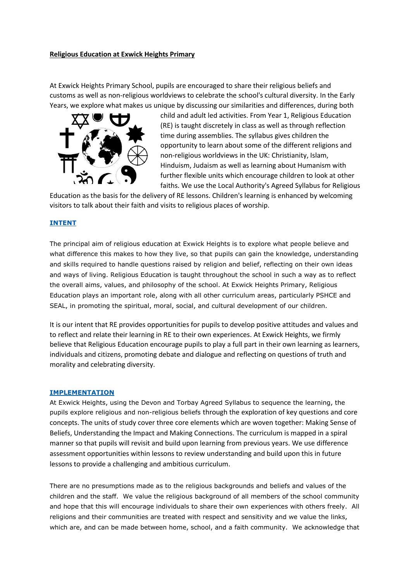## **Religious Education at Exwick Heights Primary**

At Exwick Heights Primary School, pupils are encouraged to share their religious beliefs and customs as well as non-religious worldviews to celebrate the school's cultural diversity. In the Early Years, we explore what makes us unique by discussing our similarities and differences, during both



child and adult led activities. From Year 1, Religious Education (RE) is taught discretely in class as well as through reflection time during assemblies. The syllabus gives children the opportunity to learn about some of the different religions and non-religious worldviews in the UK: Christianity, Islam, Hinduism, Judaism as well as learning about Humanism with further flexible units which encourage children to look at other faiths. We use the Local Authority's Agreed Syllabus for Religious

Education as the basis for the delivery of RE lessons. Children's learning is enhanced by welcoming visitors to talk about their faith and visits to religious places of worship.

## **INTENT**

The principal aim of religious education at Exwick Heights is to explore what people believe and what difference this makes to how they live, so that pupils can gain the knowledge, understanding and skills required to handle questions raised by religion and belief, reflecting on their own ideas and ways of living. Religious Education is taught throughout the school in such a way as to reflect the overall aims, values, and philosophy of the school. At Exwick Heights Primary, Religious Education plays an important role, along with all other curriculum areas, particularly PSHCE and SEAL, in promoting the spiritual, moral, social, and cultural development of our children.

It is our intent that RE provides opportunities for pupils to develop positive attitudes and values and to reflect and relate their learning in RE to their own experiences. At Exwick Heights, we firmly believe that Religious Education encourage pupils to play a full part in their own learning as learners, individuals and citizens, promoting debate and dialogue and reflecting on questions of truth and morality and celebrating diversity.

## **IMPLEMENTATION**

At Exwick Heights, using the Devon and Torbay Agreed Syllabus to sequence the learning, the pupils explore religious and non-religious beliefs through the exploration of key questions and core concepts. The units of study cover three core elements which are woven together: Making Sense of Beliefs, Understanding the Impact and Making Connections. The curriculum is mapped in a spiral manner so that pupils will revisit and build upon learning from previous years. We use difference assessment opportunities within lessons to review understanding and build upon this in future lessons to provide a challenging and ambitious curriculum.

There are no presumptions made as to the religious backgrounds and beliefs and values of the children and the staff. We value the religious background of all members of the school community and hope that this will encourage individuals to share their own experiences with others freely. All religions and their communities are treated with respect and sensitivity and we value the links, which are, and can be made between home, school, and a faith community. We acknowledge that